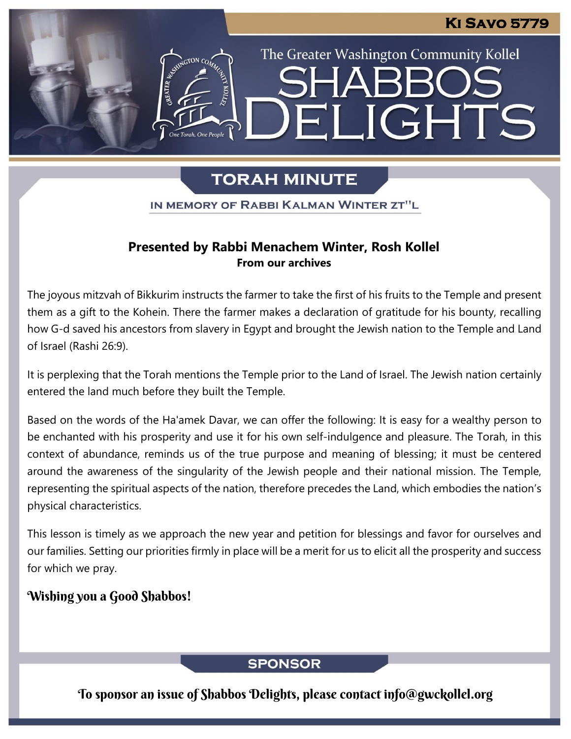The Greater Washington Community Kollel

ELIGHTS

# **TORAH MINUTE**

IN MEMORY OF RABBI KALMAN WINTER ZT"L

### **Presented by Rabbi Menachem Winter, Rosh Kollel From our archives**

The joyous mitzvah of Bikkurim instructs the farmer to take the first of his fruits to the Temple and present them as a gift to the Kohein. There the farmer makes a declaration of gratitude for his bounty, recalling how G-d saved his ancestors from slavery in Egypt and brought the Jewish nation to the Temple and Land of Israel (Rashi 26:9).

It is perplexing that the Torah mentions the Temple prior to the Land of Israel. The Jewish nation certainly entered the land much before they built the Temple.

Based on the words of the Ha'amek Davar, we can offer the following: It is easy for a wealthy person to be enchanted with his prosperity and use it for his own self-indulgence and pleasure. The Torah, in this context of abundance, reminds us of the true purpose and meaning of blessing; it must be centered around the awareness of the singularity of the Jewish people and their national mission. The Temple, representing the spiritual aspects of the nation, therefore precedes the Land, which embodies the nation's physical characteristics.

This lesson is timely as we approach the new year and petition for blessings and favor for ourselves and our families. Setting our priorities firmly in place will be a merit for us to elicit all the prosperity and success for which we pray.

## Wishing you a Good Shabbos!

## **SPONSOR**

To sponsor an issue of Shabbos Delights, please contact info@gwckollel.org